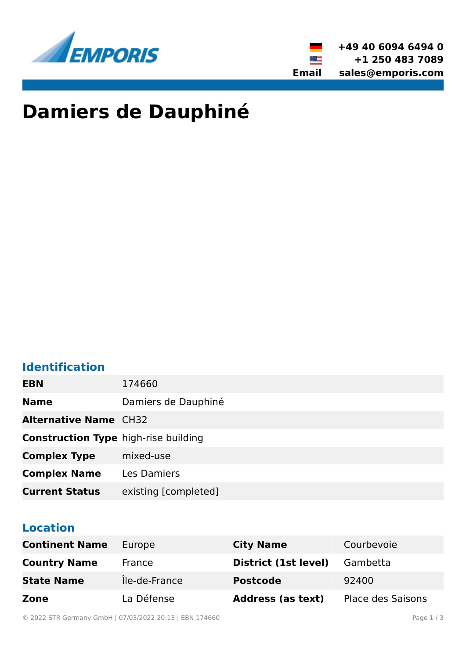



# **Damiers de Dauphiné**

### **Identification**

| <b>EBN</b>                                  | 174660               |
|---------------------------------------------|----------------------|
| <b>Name</b>                                 | Damiers de Dauphiné  |
| <b>Alternative Name CH32</b>                |                      |
| <b>Construction Type high-rise building</b> |                      |
| <b>Complex Type</b>                         | mixed-use            |
| <b>Complex Name</b>                         | Les Damiers          |
| <b>Current Status</b>                       | existing [completed] |

#### **Location**

| <b>Continent Name</b> | Europe        | <b>City Name</b>         | Courbevoie               |
|-----------------------|---------------|--------------------------|--------------------------|
| <b>Country Name</b>   | France        | District (1st level)     | Gambetta                 |
| <b>State Name</b>     | Île-de-France | <b>Postcode</b>          | 92400                    |
| Zone                  | La Défense    | <b>Address (as text)</b> | <b>Place des Saisons</b> |

© 2022 STR Germany GmbH | 07/03/2022 20:13 | EBN 174660 Page 1 / 3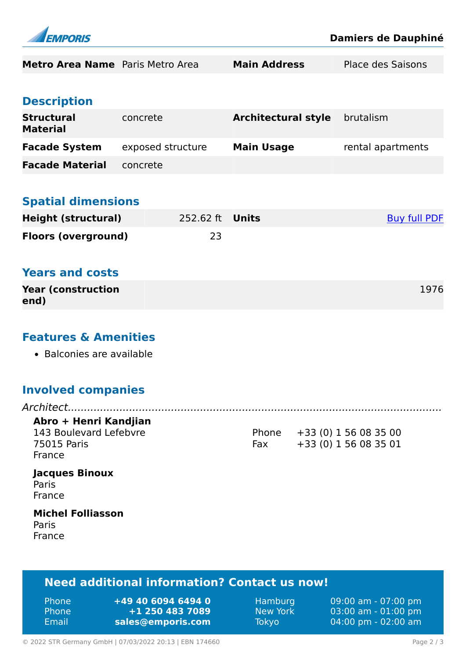

Phone **+49 40 6094 6494 0** Phone **+1 250 483 7089** Email **<sales@emporis.com>**

Hamburg 09:00 am - 07:00 pm New York 03:00 am - 01:00 pm Tokyo 04:00 pm - 02:00 am